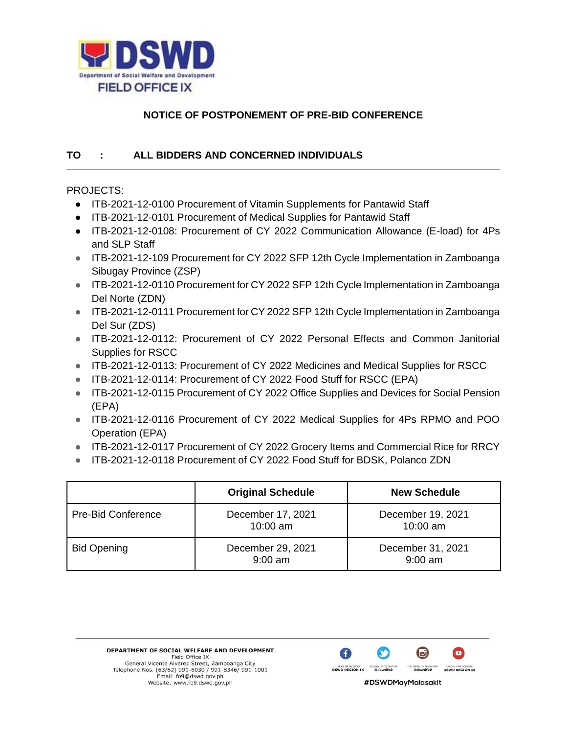

## **NOTICE OF POSTPONEMENT OF PRE-BID CONFERENCE**

## **TO : ALL BIDDERS AND CONCERNED INDIVIDUALS**

## PROJECTS:

- ITB-2021-12-0100 Procurement of Vitamin Supplements for Pantawid Staff
- ITB-2021-12-0101 Procurement of Medical Supplies for Pantawid Staff
- ITB-2021-12-0108: Procurement of CY 2022 Communication Allowance (E-load) for 4Ps and SLP Staff
- ITB-2021-12-109 Procurement for CY 2022 SFP 12th Cycle Implementation in Zamboanga Sibugay Province (ZSP)
- ITB-2021-12-0110 Procurement for CY 2022 SFP 12th Cycle Implementation in Zamboanga Del Norte (ZDN)
- ITB-2021-12-0111 Procurement for CY 2022 SFP 12th Cycle Implementation in Zamboanga Del Sur (ZDS)
- ITB-2021-12-0112: Procurement of CY 2022 Personal Effects and Common Janitorial Supplies for RSCC
- ITB-2021-12-0113: Procurement of CY 2022 Medicines and Medical Supplies for RSCC
- ITB-2021-12-0114: Procurement of CY 2022 Food Stuff for RSCC (EPA)
- ITB-2021-12-0115 Procurement of CY 2022 Office Supplies and Devices for Social Pension (EPA)
- ITB-2021-12-0116 Procurement of CY 2022 Medical Supplies for 4Ps RPMO and POO Operation (EPA)
- ITB-2021-12-0117 Procurement of CY 2022 Grocery Items and Commercial Rice for RRCY
- ITB-2021-12-0118 Procurement of CY 2022 Food Stuff for BDSK, Polanco ZDN

|                           | <b>Original Schedule</b>        | <b>New Schedule</b>            |
|---------------------------|---------------------------------|--------------------------------|
| <b>Pre-Bid Conference</b> | December 17, 2021<br>$10:00$ am | December 19, 2021<br>10:00 am  |
| <b>Bid Opening</b>        | December 29, 2021<br>$9:00$ am  | December 31, 2021<br>$9:00$ am |

DEPARTMENT OF SOCIAL WELFARE AND DEVELOPMENT Field Office IX General Vicente Alvarez Street, Zamboanga City Telephone Nos. (63/62) 991-6030 / 991-8346/ 991-1001<br>Email: fo9@dswd.gov.ph Website: www.fo9.dswd.gov.ph